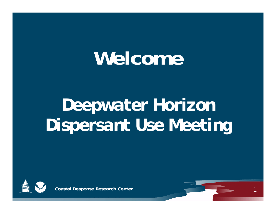# **Welcome**

# *Deepwater Horizon Di t U M ti Dispersant Use Meeting*



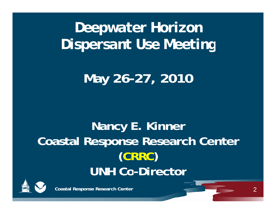# *Deepwater Horizon Di U M i Dispersant Use Meetin g*

# **May 26-27, 2010**

#### **Nancy E. Kinner Coastal Res ponse Research Center (CRRC) UNH Co-Director**

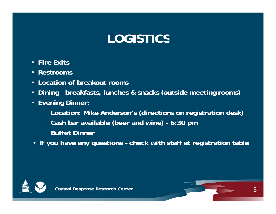# **LOGISTICS**

- **Fire Exits**
- **Restrooms**
- **Location of breakout rooms**
- •**Dining - breakfasts, lunches & snacks (outside meeting rooms)**
- **Evening Dinner:**
	- −**Location: Mike Anderson's (directions on registration desk)**
	- −**C h b il bl (b d i ) Cash bar available (beer and wine) - 6 30: pm**
	- − **Buffet Dinner**
- **If you have any questions – check with staff at registration table**



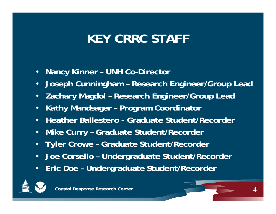# **KEY CRRC STAFF**

- $\bullet$ **Nancy Kinner – UNH Co-Director**
- •**Joseph Cunningham – Research Engineer/Group Lead**
- •• Zachary Magdol - Research Engineer/Group Lead
- •**Kathy Mandsager – Program Coordinator**
- •**Heather Ballestero – Graduate Student/Recorder**
- •**Mike Curry – Graduate Student/Recorder**
- •**T yler Crowe – Graduate Student/Recorder**
- •**Joe Corsello – Undergraduate Student/Recorder**
- •**Eric Doe – Undergraduate Student/Recorder**



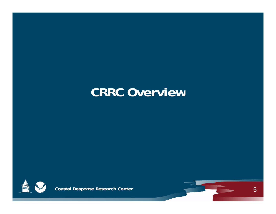#### **CRRC Overview**



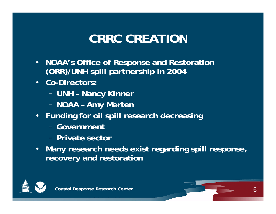# **CRRC CREATION**

- **NOAA's Office of Res ponse and Restoration (ORR)/UNH spill partnership in 2004**
- **Co-Directors:**
	- − **UNH –Nancy Kinner**
	- **NOAA – Amy Merten**
- **Funding for oil spill research decreasing**
	- − **Government**
	- − **Private sector**
- $\bullet$ **Many research needs exist regarding spill response, recovery and restoration**



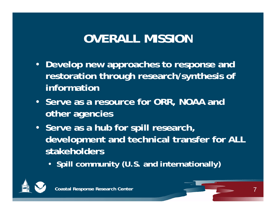### **OVERALL MISSION**

- **Develop new approaches to response and restoration through research/synthesis of information**
- **Serve as a resource for ORR, NOAA and other agencies**
- **Serve as a hub for spill research, development and technical transfer for ALL stak h ld e olders**
	- **Spill community (U.S. and internationally)**



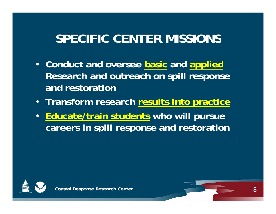#### **SPECIFIC CENTER MISSIONS**

- **Conduct and oversee basic and applied Research and outreach on spill response and restoration**
- **Transform research results into practice**
- **Educate/train students who will pursue careers in spill response and restoration**



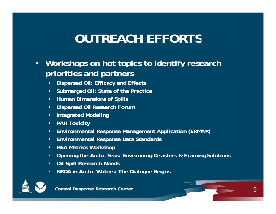# **OUTREACH EFFORTS**

- $\bullet$ **•** Workshops on hot topics to identify research **priorities and partners**
	- •**Dispersed Oil: Efficacy and Effects**
	- **Submer ged Oil: State of the Practice**
	- **Human Dimensions of Spills**
	- **Dispersed Oil Research Forum**
	- **Integrated Modeling**
	- **PAH Toxicity**
	- **Environmental Response Management Application (ERMA®)**
	- **Environmental Response Data Standards**
	- **HEA Metrics Workshop**
	- **Opening the Arctic Seas: Envisioning Disasters & Framing Solutions**
	- **Oil Spill Research Needs**
	- **NRDA in Arctic Waters: The Dialo gue Be gins g g**



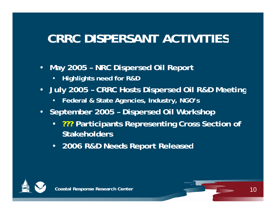#### **CRRC DISPERSANT ACTIVITIES**

- **May 2005 – NRC Dispersed Oil Report**
	- •**Highlights need for R&D**
- **Jul y 2005 – CRRC Hosts Dis p g ersed Oil R&D Meetin**
	- $\bullet$ **Federal & State Agencies, Industry, NGO's**
- **September 2005 – Dispersed Oil Workshop**
	- • **??? Participants Representing Cross Section of Stakeholders**
	- **2006 R&D Needs Report Released**



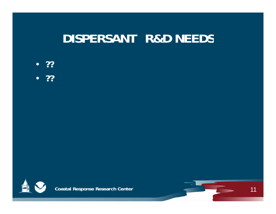#### **DISPERSANT R&D NEEDS**

• **??** • **??**



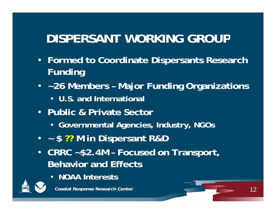# **DISPERSANT WORKING GROUP**

- **Formed to Coordinate Dispersants Research Funding**
- **~26 Members – Major Funding Organizations**
	- **U.S. and International**
- **Public & Private Sector**
	- **Governmental Agencies, Industry, NGOs**
- **~ \$ ?? M in Dispersant R&D**
- **CRRC ~\$2.4M – Focused on Transport, Behavior and Effects**
	- **NOAA I t t**•**nterests**

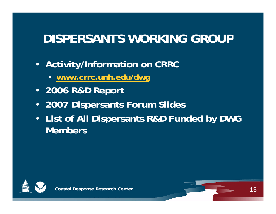# **DISPERSANTS WORKING GROUP**

- **Activity/Information on CRRC**
	- **www.crrc.unh.edu/dwg**
- **2006 R&D Report**
- **2007 Dispersants Forum Slides**
- **List of All Dispersants R&D Funded by DWG Members**



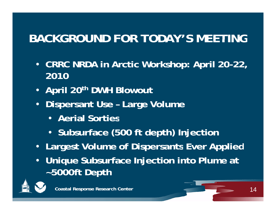#### **BACKGROUND FOR TODAY S MEETING 'S**

- **CRRC NRDA in Arctic Workshop: April 20 -22, 2010**
- **A pril 20th DWH Blowout**
- $\bullet$  **Dispersant Use – Large Volume**
	- **Aerial Sorties**
	- **Subsurface (500 ft depth) Injection**
- **Largest Volume of Dispersants Ever Applied**
- • **Unique Subsurface Injection into Plume at ~5000ft Depth**

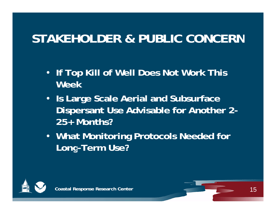# **STAKEHOLDER & PUBLIC CONCERN**

- **If Top Kill of Well Does Not Work This Week**
- **Is Large Scale Aerial and Subsurface Dispersant Use Advisable for Another 2- 25+ Months?**
- **What Monitoring Protocols Needed for Long -Term Use?**



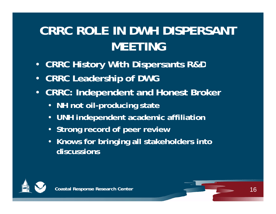# **CRRC ROLE IN DWH DISPERSANT MEETING**

- •**CRRC History With Dispersants R&D**
- •**CRRC Leadership of DWG**
- • **CRRC: Independent and Honest Broker**
	- **NH not oil-producing state**
	- **UNH inde pendent academic affiliation**
	- **Strong record of peer review**
	- **Knows for bringing all stakeholders into discussions**



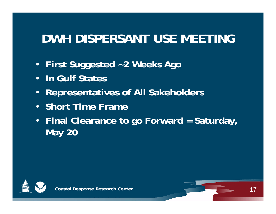# **DWH DISPERSANT USE MEETING**

- **First Suggested 2 Weeks Ago ~2**
- **In Gulf States**
- •**Representatives of All Sakeholders**
- **Short Time Frame**
- Final Clearance to go Forward = Saturday, **May 20**



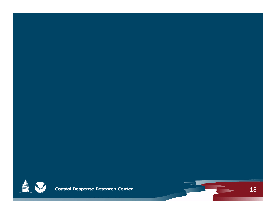

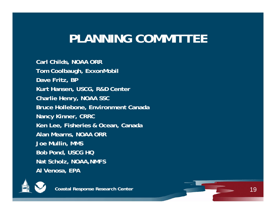#### **PLANNING COMMITTEE**

**Carl Childs, NOAA ORR Tom Coolbaugh, ExxonMobil Dave Fritz, BP Kurt Hansen, USCG, R&D Center Charlie Henry, NOAA SSC Bruce Hollebone, Environment Canada Nancy Kinner, CRRC Ken Lee, Fisheries & Ocean, Canada Alan Mearns, NOAA ORR Joe Mullin, MMS Bob Pond, USCG HQ Nat Scholz, NOAA,NMFS Al Venosa, EPA**



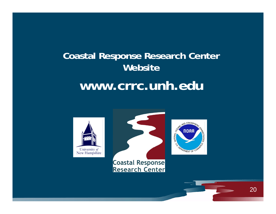#### **Coastal Response Research Center Website www.crrc.unh.edu**





**Coastal Response Research Center**